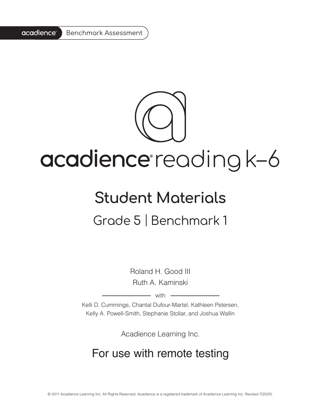#### acadience<sup>®</sup> Benchmark Assessment

# acadience reading k-6

### **Student Materials**

#### Grade 5 | Benchmark 1

Roland H. Good III Ruth A. Kaminski

 $-$  with  $-$ 

Kelli D. Cummings, Chantal Dufour-Martel, Kathleen Petersen, Kelly A. Powell-Smith, Stephanie Stollar, and Joshua Wallin

Acadience Learning Inc.

#### For use with remote testing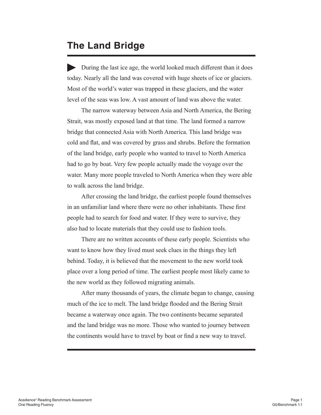#### **The Land Bridge**

 During the last ice age, the world looked much different than it does today. Nearly all the land was covered with huge sheets of ice or glaciers. Most of the world's water was trapped in these glaciers, and the water level of the seas was low. A vast amount of land was above the water.

The narrow waterway between Asia and North America, the Bering Strait, was mostly exposed land at that time. The land formed a narrow bridge that connected Asia with North America. This land bridge was cold and flat, and was covered by grass and shrubs. Before the formation of the land bridge, early people who wanted to travel to North America had to go by boat. Very few people actually made the voyage over the water. Many more people traveled to North America when they were able to walk across the land bridge.

After crossing the land bridge, the earliest people found themselves in an unfamiliar land where there were no other inhabitants. These first people had to search for food and water. If they were to survive, they also had to locate materials that they could use to fashion tools.

There are no written accounts of these early people. Scientists who want to know how they lived must seek clues in the things they left behind. Today, it is believed that the movement to the new world took place over a long period of time. The earliest people most likely came to the new world as they followed migrating animals.

After many thousands of years, the climate began to change, causing much of the ice to melt. The land bridge flooded and the Bering Strait became a waterway once again. The two continents became separated and the land bridge was no more. Those who wanted to journey between the continents would have to travel by boat or find a new way to travel.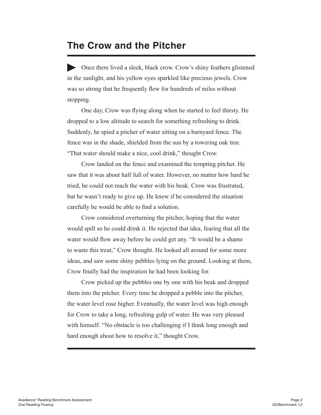#### **The Crow and the Pitcher**

Once there lived a sleek, black crow. Crow's shiny feathers glistened in the sunlight, and his yellow eyes sparkled like precious jewels. Crow was so strong that he frequently flew for hundreds of miles without stopping.

 One day, Crow was flying along when he started to feel thirsty. He dropped to a low altitude to search for something refreshing to drink. Suddenly, he spied a pitcher of water sitting on a barnyard fence. The fence was in the shade, shielded from the sun by a towering oak tree. "That water should make a nice, cool drink," thought Crow.

 Crow landed on the fence and examined the tempting pitcher. He saw that it was about half full of water. However, no matter how hard he tried, he could not reach the water with his beak. Crow was frustrated, but he wasn't ready to give up. He knew if he considered the situation carefully he would be able to find a solution.

Crow considered overturning the pitcher, hoping that the water would spill so he could drink it. He rejected that idea, fearing that all the water would flow away before he could get any. "It would be a shame to waste this treat," Crow thought. He looked all around for some more ideas, and saw some shiny pebbles lying on the ground. Looking at them, Crow finally had the inspiration he had been looking for.

Crow picked up the pebbles one by one with his beak and dropped them into the pitcher. Every time he dropped a pebble into the pitcher, the water level rose higher. Eventually, the water level was high enough for Crow to take a long, refreshing gulp of water. He was very pleased with himself. "No obstacle is too challenging if I think long enough and hard enough about how to resolve it," thought Crow.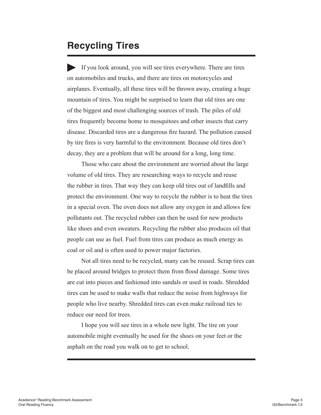#### **Recycling Tires**

If you look around, you will see tires everywhere. There are tires on automobiles and trucks, and there are tires on motorcycles and airplanes. Eventually, all these tires will be thrown away, creating a huge mountain of tires. You might be surprised to learn that old tires are one of the biggest and most challenging sources of trash. The piles of old tires frequently become home to mosquitoes and other insects that carry disease. Discarded tires are a dangerous fire hazard. The pollution caused by tire fires is very harmful to the environment. Because old tires don't decay, they are a problem that will be around for a long, long time.

Those who care about the environment are worried about the large volume of old tires. They are researching ways to recycle and reuse the rubber in tires. That way they can keep old tires out of landfills and protect the environment. One way to recycle the rubber is to heat the tires in a special oven. The oven does not allow any oxygen in and allows few pollutants out. The recycled rubber can then be used for new products like shoes and even sweaters. Recycling the rubber also produces oil that people can use as fuel. Fuel from tires can produce as much energy as coal or oil and is often used to power major factories.

Not all tires need to be recycled, many can be reused. Scrap tires can be placed around bridges to protect them from flood damage. Some tires are cut into pieces and fashioned into sandals or used in roads. Shredded tires can be used to make walls that reduce the noise from highways for people who live nearby. Shredded tires can even make railroad ties to reduce our need for trees.

I hope you will see tires in a whole new light. The tire on your automobile might eventually be used for the shoes on your feet or the asphalt on the road you walk on to get to school.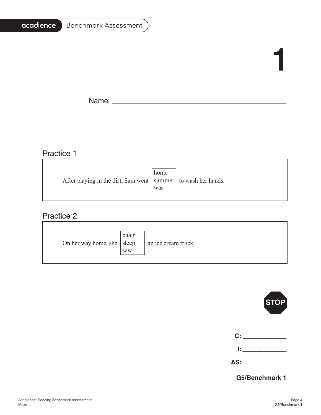#### acadience<sup>®</sup> Benchmark Assessment

## **1**

÷,

Name: \_\_\_\_\_\_\_\_\_\_\_\_\_\_\_\_\_\_\_\_\_\_\_\_\_\_\_\_\_\_\_\_\_\_\_\_\_\_\_\_\_\_\_\_\_\_\_\_\_\_\_\_\_\_\_\_\_\_\_\_\_\_\_\_\_\_\_\_\_\_\_\_\_\_\_\_\_\_\_\_\_\_\_\_\_\_\_\_\_\_\_\_\_\_\_\_\_\_\_\_\_\_\_

#### Practice 1

|                                                                   | home |  |
|-------------------------------------------------------------------|------|--|
| After playing in the dirt, Sam went   summer   to wash her hands. |      |  |
|                                                                   | was  |  |
|                                                                   |      |  |

#### Practice 2

| On her way home, she   sleep | chair<br>saw | an ice cream truck. |
|------------------------------|--------------|---------------------|
|------------------------------|--------------|---------------------|



| C:  |  |
|-----|--|
| Ŀ.  |  |
| AS: |  |

**G5/Benchmark 1**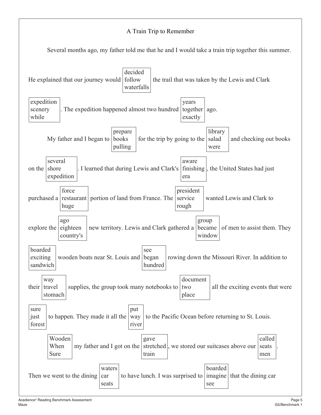#### A Train Trip to Remember

Several months ago, my father told me that he and I would take a train trip together this summer.

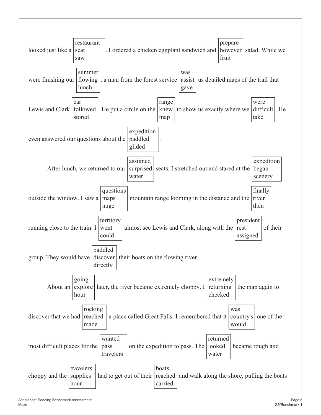